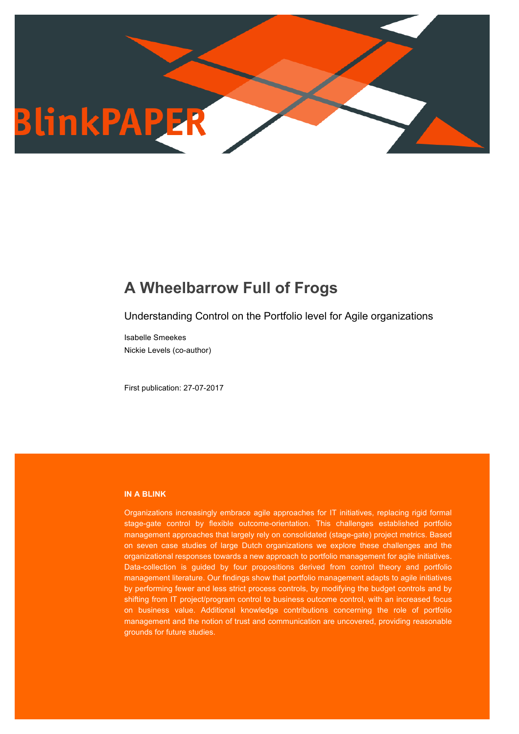

# **A Wheelbarrow Full of Frogs**

Understanding Control on the Portfolio level for Agile organizations

Isabelle Smeekes Nickie Levels (co-author)

First publication: 27-07-2017

## **IN A BLINK**

Organizations increasingly embrace agile approaches for IT initiatives, replacing rigid formal stage-gate control by flexible outcome-orientation. This challenges established portfolio management approaches that largely rely on consolidated (stage-gate) project metrics. Based on seven case studies of large Dutch organizations we explore these challenges and the organizational responses towards a new approach to portfolio management for agile initiatives. Data-collection is guided by four propositions derived from control theory and portfolio management literature. Our findings show that portfolio management adapts to agile initiatives by performing fewer and less strict process controls, by modifying the budget controls and by shifting from IT project/program control to business outcome control, with an increased focus on business value. Additional knowledge contributions concerning the role of portfolio management and the notion of trust and communication are uncovered, providing reasonable grounds for future studies.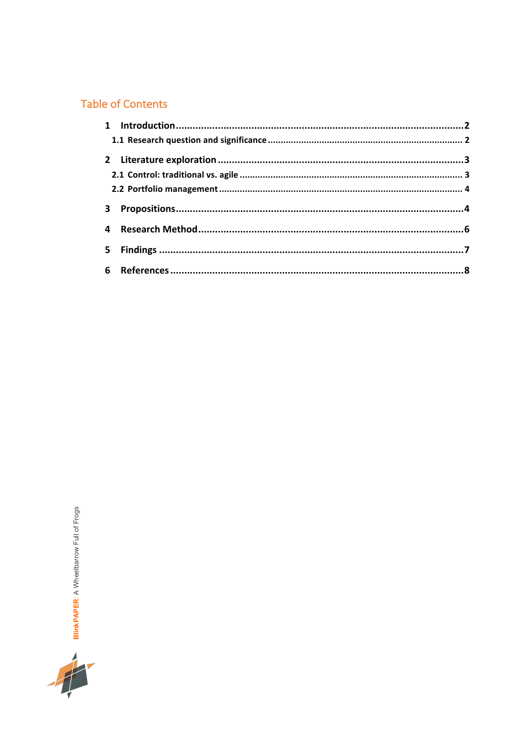# Table of Contents

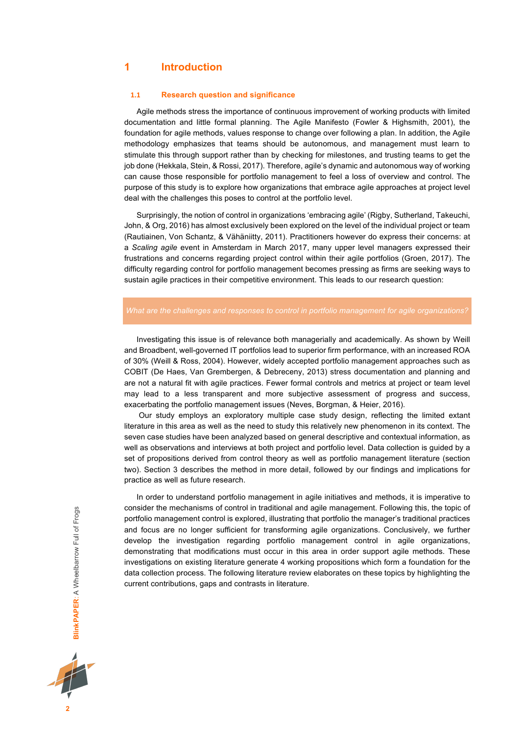## **1 Introduction**

#### **1.1 Research question and significance**

Agile methods stress the importance of continuous improvement of working products with limited documentation and little formal planning. The Agile Manifesto (Fowler & Highsmith, 2001), the foundation for agile methods, values response to change over following a plan. In addition, the Agile methodology emphasizes that teams should be autonomous, and management must learn to stimulate this through support rather than by checking for milestones, and trusting teams to get the job done (Hekkala, Stein, & Rossi, 2017). Therefore, agile's dynamic and autonomous way of working can cause those responsible for portfolio management to feel a loss of overview and control. The purpose of this study is to explore how organizations that embrace agile approaches at project level deal with the challenges this poses to control at the portfolio level.

Surprisingly, the notion of control in organizations 'embracing agile' (Rigby, Sutherland, Takeuchi, John, & Org, 2016) has almost exclusively been explored on the level of the individual project or team (Rautiainen, Von Schantz, & Vähäniitty, 2011). Practitioners however do express their concerns: at a *Scaling agile* event in Amsterdam in March 2017, many upper level managers expressed their frustrations and concerns regarding project control within their agile portfolios (Groen, 2017). The difficulty regarding control for portfolio management becomes pressing as firms are seeking ways to sustain agile practices in their competitive environment. This leads to our research question:

#### *What are the challenges and responses to control in portfolio management for agile organizations?*

Investigating this issue is of relevance both managerially and academically. As shown by Weill and Broadbent, well-governed IT portfolios lead to superior firm performance, with an increased ROA of 30% (Weill & Ross, 2004). However, widely accepted portfolio management approaches such as COBIT (De Haes, Van Grembergen, & Debreceny, 2013) stress documentation and planning and are not a natural fit with agile practices. Fewer formal controls and metrics at project or team level may lead to a less transparent and more subjective assessment of progress and success, exacerbating the portfolio management issues (Neves, Borgman, & Heier, 2016).

Our study employs an exploratory multiple case study design, reflecting the limited extant literature in this area as well as the need to study this relatively new phenomenon in its context. The seven case studies have been analyzed based on general descriptive and contextual information, as well as observations and interviews at both project and portfolio level. Data collection is guided by a set of propositions derived from control theory as well as portfolio management literature (section two). Section 3 describes the method in more detail, followed by our findings and implications for practice as well as future research.

In order to understand portfolio management in agile initiatives and methods, it is imperative to consider the mechanisms of control in traditional and agile management. Following this, the topic of portfolio management control is explored, illustrating that portfolio the manager's traditional practices and focus are no longer sufficient for transforming agile organizations. Conclusively, we further develop the investigation regarding portfolio management control in agile organizations, demonstrating that modifications must occur in this area in order support agile methods. These investigations on existing literature generate 4 working propositions which form a foundation for the data collection process. The following literature review elaborates on these topics by highlighting the current contributions, gaps and contrasts in literature.

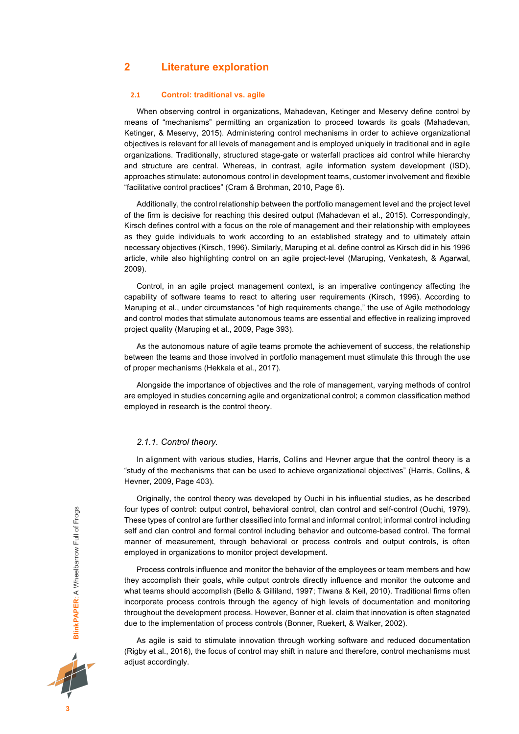## **2 Literature exploration**

#### **2.1 Control: traditional vs. agile**

When observing control in organizations, Mahadevan, Ketinger and Meservy define control by means of "mechanisms" permitting an organization to proceed towards its goals (Mahadevan, Ketinger, & Meservy, 2015). Administering control mechanisms in order to achieve organizational objectives is relevant for all levels of management and is employed uniquely in traditional and in agile organizations. Traditionally, structured stage-gate or waterfall practices aid control while hierarchy and structure are central. Whereas, in contrast, agile information system development (ISD), approaches stimulate: autonomous control in development teams, customer involvement and flexible "facilitative control practices" (Cram & Brohman, 2010, Page 6).

Additionally, the control relationship between the portfolio management level and the project level of the firm is decisive for reaching this desired output (Mahadevan et al., 2015). Correspondingly, Kirsch defines control with a focus on the role of management and their relationship with employees as they guide individuals to work according to an established strategy and to ultimately attain necessary objectives (Kirsch, 1996). Similarly, Maruping et al. define control as Kirsch did in his 1996 article, while also highlighting control on an agile project-level (Maruping, Venkatesh, & Agarwal, 2009).

Control, in an agile project management context, is an imperative contingency affecting the capability of software teams to react to altering user requirements (Kirsch, 1996). According to Maruping et al., under circumstances "of high requirements change," the use of Agile methodology and control modes that stimulate autonomous teams are essential and effective in realizing improved project quality (Maruping et al., 2009, Page 393).

As the autonomous nature of agile teams promote the achievement of success, the relationship between the teams and those involved in portfolio management must stimulate this through the use of proper mechanisms (Hekkala et al., 2017).

Alongside the importance of objectives and the role of management, varying methods of control are employed in studies concerning agile and organizational control; a common classification method employed in research is the control theory.

#### *2.1.1. Control theory.*

In alignment with various studies, Harris, Collins and Hevner argue that the control theory is a "study of the mechanisms that can be used to achieve organizational objectives" (Harris, Collins, & Hevner, 2009, Page 403).

Originally, the control theory was developed by Ouchi in his influential studies, as he described four types of control: output control, behavioral control, clan control and self-control (Ouchi, 1979). These types of control are further classified into formal and informal control; informal control including self and clan control and formal control including behavior and outcome-based control. The formal manner of measurement, through behavioral or process controls and output controls, is often employed in organizations to monitor project development.

Process controls influence and monitor the behavior of the employees or team members and how they accomplish their goals, while output controls directly influence and monitor the outcome and what teams should accomplish (Bello & Gilliland, 1997; Tiwana & Keil, 2010). Traditional firms often incorporate process controls through the agency of high levels of documentation and monitoring throughout the development process. However, Bonner et al. claim that innovation is often stagnated due to the implementation of process controls (Bonner, Ruekert, & Walker, 2002).

As agile is said to stimulate innovation through working software and reduced documentation (Rigby et al., 2016), the focus of control may shift in nature and therefore, control mechanisms must adjust accordingly.

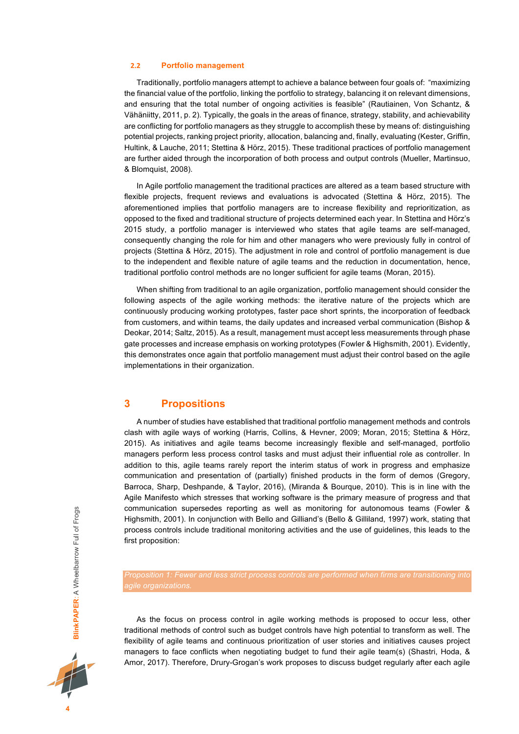#### **2.2 Portfolio management**

Traditionally, portfolio managers attempt to achieve a balance between four goals of: "maximizing the financial value of the portfolio, linking the portfolio to strategy, balancing it on relevant dimensions, and ensuring that the total number of ongoing activities is feasible" (Rautiainen, Von Schantz, & Vähäniitty, 2011, p. 2). Typically, the goals in the areas of finance, strategy, stability, and achievability are conflicting for portfolio managers as they struggle to accomplish these by means of: distinguishing potential projects, ranking project priority, allocation, balancing and, finally, evaluating (Kester, Griffin, Hultink, & Lauche, 2011; Stettina & Hörz, 2015). These traditional practices of portfolio management are further aided through the incorporation of both process and output controls (Mueller, Martinsuo, & Blomquist, 2008).

In Agile portfolio management the traditional practices are altered as a team based structure with flexible projects, frequent reviews and evaluations is advocated (Stettina & Hörz, 2015). The aforementioned implies that portfolio managers are to increase flexibility and reprioritization, as opposed to the fixed and traditional structure of projects determined each year. In Stettina and Hörz's 2015 study, a portfolio manager is interviewed who states that agile teams are self-managed, consequently changing the role for him and other managers who were previously fully in control of projects (Stettina & Hörz, 2015). The adjustment in role and control of portfolio management is due to the independent and flexible nature of agile teams and the reduction in documentation, hence, traditional portfolio control methods are no longer sufficient for agile teams (Moran, 2015).

When shifting from traditional to an agile organization, portfolio management should consider the following aspects of the agile working methods: the iterative nature of the projects which are continuously producing working prototypes, faster pace short sprints, the incorporation of feedback from customers, and within teams, the daily updates and increased verbal communication (Bishop & Deokar, 2014; Saltz, 2015). As a result, management must accept less measurements through phase gate processes and increase emphasis on working prototypes (Fowler & Highsmith, 2001). Evidently, this demonstrates once again that portfolio management must adjust their control based on the agile implementations in their organization.

## **3 Propositions**

A number of studies have established that traditional portfolio management methods and controls clash with agile ways of working (Harris, Collins, & Hevner, 2009; Moran, 2015; Stettina & Hörz, 2015). As initiatives and agile teams become increasingly flexible and self-managed, portfolio managers perform less process control tasks and must adjust their influential role as controller. In addition to this, agile teams rarely report the interim status of work in progress and emphasize communication and presentation of (partially) finished products in the form of demos (Gregory, Barroca, Sharp, Deshpande, & Taylor, 2016), (Miranda & Bourque, 2010). This is in line with the Agile Manifesto which stresses that working software is the primary measure of progress and that communication supersedes reporting as well as monitoring for autonomous teams (Fowler & Highsmith, 2001). In conjunction with Bello and Gilliand's (Bello & Gilliland, 1997) work, stating that process controls include traditional monitoring activities and the use of guidelines, this leads to the first proposition:

*agile organizations.*

As the focus on process control in agile working methods is proposed to occur less, other traditional methods of control such as budget controls have high potential to transform as well. The flexibility of agile teams and continuous prioritization of user stories and initiatives causes project managers to face conflicts when negotiating budget to fund their agile team(s) (Shastri, Hoda, & Amor, 2017). Therefore, Drury-Grogan's work proposes to discuss budget regularly after each agile

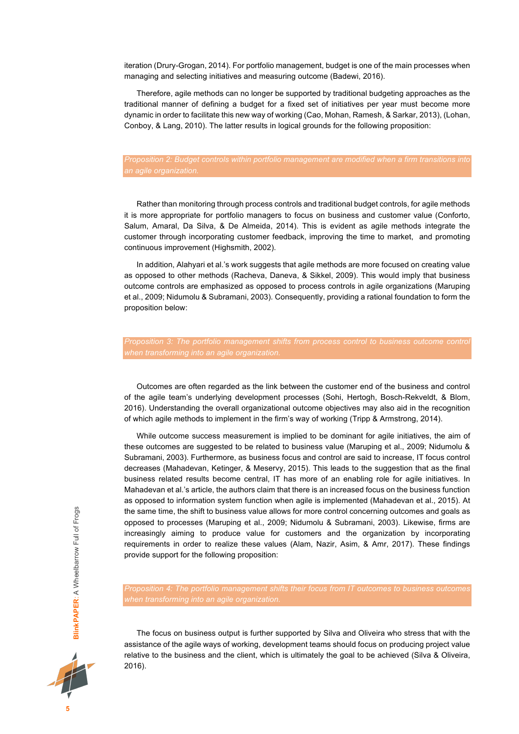iteration (Drury-Grogan, 2014). For portfolio management, budget is one of the main processes when managing and selecting initiatives and measuring outcome (Badewi, 2016).

Therefore, agile methods can no longer be supported by traditional budgeting approaches as the traditional manner of defining a budget for a fixed set of initiatives per year must become more dynamic in order to facilitate this new way of working (Cao, Mohan, Ramesh, & Sarkar, 2013), (Lohan, Conboy, & Lang, 2010). The latter results in logical grounds for the following proposition:

# *Proposition 2: Budget controls within portfolio management are modified when a firm transitions into*

Rather than monitoring through process controls and traditional budget controls, for agile methods it is more appropriate for portfolio managers to focus on business and customer value (Conforto, Salum, Amaral, Da Silva, & De Almeida, 2014). This is evident as agile methods integrate the customer through incorporating customer feedback, improving the time to market, and promoting continuous improvement (Highsmith, 2002).

In addition, Alahyari et al.'s work suggests that agile methods are more focused on creating value as opposed to other methods (Racheva, Daneva, & Sikkel, 2009). This would imply that business outcome controls are emphasized as opposed to process controls in agile organizations (Maruping et al., 2009; Nidumolu & Subramani, 2003). Consequently, providing a rational foundation to form the proposition below:

Outcomes are often regarded as the link between the customer end of the business and control of the agile team's underlying development processes (Sohi, Hertogh, Bosch-Rekveldt, & Blom, 2016). Understanding the overall organizational outcome objectives may also aid in the recognition of which agile methods to implement in the firm's way of working (Tripp & Armstrong, 2014).

While outcome success measurement is implied to be dominant for agile initiatives, the aim of these outcomes are suggested to be related to business value (Maruping et al., 2009; Nidumolu & Subramani, 2003). Furthermore, as business focus and control are said to increase, IT focus control decreases (Mahadevan, Ketinger, & Meservy, 2015). This leads to the suggestion that as the final business related results become central, IT has more of an enabling role for agile initiatives. In Mahadevan et al.'s article, the authors claim that there is an increased focus on the business function as opposed to information system function when agile is implemented (Mahadevan et al., 2015). At the same time, the shift to business value allows for more control concerning outcomes and goals as opposed to processes (Maruping et al., 2009; Nidumolu & Subramani, 2003). Likewise, firms are increasingly aiming to produce value for customers and the organization by incorporating requirements in order to realize these values (Alam, Nazir, Asim, & Amr, 2017). These findings provide support for the following proposition:



The focus on business output is further supported by Silva and Oliveira who stress that with the assistance of the agile ways of working, development teams should focus on producing project value relative to the business and the client, which is ultimately the goal to be achieved (Silva & Oliveira, 2016).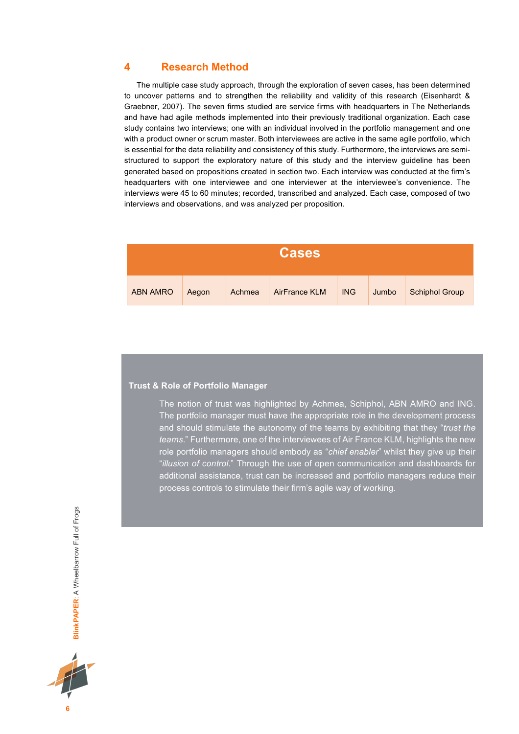## **4 Research Method**

The multiple case study approach, through the exploration of seven cases, has been determined to uncover patterns and to strengthen the reliability and validity of this research (Eisenhardt & Graebner, 2007). The seven firms studied are service firms with headquarters in The Netherlands and have had agile methods implemented into their previously traditional organization. Each case study contains two interviews; one with an individual involved in the portfolio management and one with a product owner or scrum master. Both interviewees are active in the same agile portfolio, which is essential for the data reliability and consistency of this study. Furthermore, the interviews are semistructured to support the exploratory nature of this study and the interview guideline has been generated based on propositions created in section two. Each interview was conducted at the firm's headquarters with one interviewee and one interviewer at the interviewee's convenience. The interviews were 45 to 60 minutes; recorded, transcribed and analyzed. Each case, composed of two interviews and observations, and was analyzed per proposition.

| <b>Cases</b>    |       |        |               |            |       |                       |  |  |
|-----------------|-------|--------|---------------|------------|-------|-----------------------|--|--|
| <b>ABN AMRO</b> | Aegon | Achmea | AirFrance KLM | <b>ING</b> | Jumbo | <b>Schiphol Group</b> |  |  |

### **Trust & Role of Portfolio Manager**

The notion of trust was highlighted by Achmea, Schiphol, ABN AMRO and ING. The portfolio manager must have the appropriate role in the development process and should stimulate the autonomy of the teams by exhibiting that they "*trust the teams*." Furthermore, one of the interviewees of Air France KLM, highlights the new role portfolio managers should embody as "*chief enabler*" whilst they give up their "*illusion of control.*" Through the use of open communication and dashboards for additional assistance, trust can be increased and portfolio managers reduce their process controls to stimulate their firm's agile way of working.

BlinkPAPER: A Wheelbarrow Full of Frogs **BlinkPAPER**: A Wheelbarrow Full of Frogs



**6**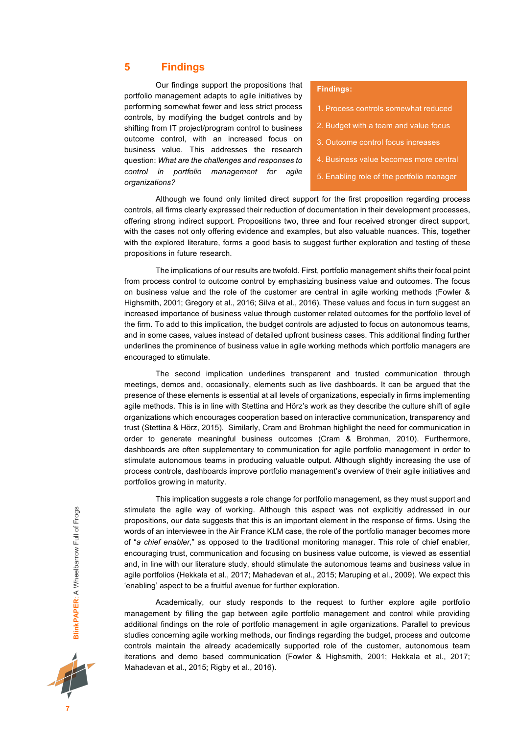# **5 Findings**

Our findings support the propositions that portfolio management adapts to agile initiatives by performing somewhat fewer and less strict process controls, by modifying the budget controls and by shifting from IT project/program control to business outcome control, with an increased focus on business value. This addresses the research question: *What are the challenges and responses to control in portfolio management for agile organizations?* 

### **Findings:**

- 1. Process controls somewhat reduced
- 2. Budget with a team and value focus
- 3. Outcome control focus increases
- 4. Business value becomes more central
- 5. Enabling role of the portfolio manager

Although we found only limited direct support for the first proposition regarding process controls, all firms clearly expressed their reduction of documentation in their development processes, offering strong indirect support. Propositions two, three and four received stronger direct support, with the cases not only offering evidence and examples, but also valuable nuances. This, together with the explored literature, forms a good basis to suggest further exploration and testing of these propositions in future research.

The implications of our results are twofold. First, portfolio management shifts their focal point from process control to outcome control by emphasizing business value and outcomes. The focus on business value and the role of the customer are central in agile working methods (Fowler & Highsmith, 2001; Gregory et al., 2016; Silva et al., 2016). These values and focus in turn suggest an increased importance of business value through customer related outcomes for the portfolio level of the firm. To add to this implication, the budget controls are adjusted to focus on autonomous teams, and in some cases, values instead of detailed upfront business cases. This additional finding further underlines the prominence of business value in agile working methods which portfolio managers are encouraged to stimulate.

The second implication underlines transparent and trusted communication through meetings, demos and, occasionally, elements such as live dashboards. It can be argued that the presence of these elements is essential at all levels of organizations, especially in firms implementing agile methods. This is in line with Stettina and Hörz's work as they describe the culture shift of agile organizations which encourages cooperation based on interactive communication, transparency and trust (Stettina & Hörz, 2015). Similarly, Cram and Brohman highlight the need for communication in order to generate meaningful business outcomes (Cram & Brohman, 2010). Furthermore, dashboards are often supplementary to communication for agile portfolio management in order to stimulate autonomous teams in producing valuable output. Although slightly increasing the use of process controls, dashboards improve portfolio management's overview of their agile initiatives and portfolios growing in maturity.

This implication suggests a role change for portfolio management, as they must support and stimulate the agile way of working. Although this aspect was not explicitly addressed in our propositions, our data suggests that this is an important element in the response of firms. Using the words of an interviewee in the Air France KLM case, the role of the portfolio manager becomes more of "*a chief enabler,*" as opposed to the traditional monitoring manager. This role of chief enabler, encouraging trust, communication and focusing on business value outcome, is viewed as essential and, in line with our literature study, should stimulate the autonomous teams and business value in agile portfolios (Hekkala et al., 2017; Mahadevan et al., 2015; Maruping et al., 2009). We expect this 'enabling' aspect to be a fruitful avenue for further exploration.

Academically, our study responds to the request to further explore agile portfolio management by filling the gap between agile portfolio management and control while providing additional findings on the role of portfolio management in agile organizations. Parallel to previous studies concerning agile working methods, our findings regarding the budget, process and outcome controls maintain the already academically supported role of the customer, autonomous team iterations and demo based communication (Fowler & Highsmith, 2001; Hekkala et al., 2017; Mahadevan et al., 2015; Rigby et al., 2016).

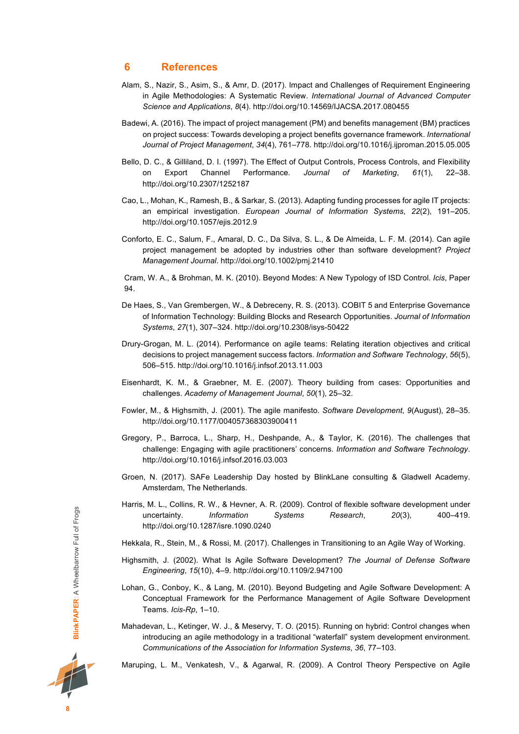## **6 References**

- Alam, S., Nazir, S., Asim, S., & Amr, D. (2017). Impact and Challenges of Requirement Engineering in Agile Methodologies: A Systematic Review. *International Journal of Advanced Computer Science and Applications*, *8*(4). http://doi.org/10.14569/IJACSA.2017.080455
- Badewi, A. (2016). The impact of project management (PM) and benefits management (BM) practices on project success: Towards developing a project benefits governance framework. *International Journal of Project Management*, *34*(4), 761–778. http://doi.org/10.1016/j.ijproman.2015.05.005
- Bello, D. C., & Gilliland, D. I. (1997). The Effect of Output Controls, Process Controls, and Flexibility on Export Channel Performance. *Journal of Marketing*, *61*(1), 22–38. http://doi.org/10.2307/1252187
- Cao, L., Mohan, K., Ramesh, B., & Sarkar, S. (2013). Adapting funding processes for agile IT projects: an empirical investigation. *European Journal of Information Systems*, *22*(2), 191–205. http://doi.org/10.1057/ejis.2012.9
- Conforto, E. C., Salum, F., Amaral, D. C., Da Silva, S. L., & De Almeida, L. F. M. (2014). Can agile project management be adopted by industries other than software development? *Project Management Journal*. http://doi.org/10.1002/pmj.21410

Cram, W. A., & Brohman, M. K. (2010). Beyond Modes: A New Typology of ISD Control. *Icis*, Paper 94.

- De Haes, S., Van Grembergen, W., & Debreceny, R. S. (2013). COBIT 5 and Enterprise Governance of Information Technology: Building Blocks and Research Opportunities. *Journal of Information Systems*, *27*(1), 307–324. http://doi.org/10.2308/isys-50422
- Drury-Grogan, M. L. (2014). Performance on agile teams: Relating iteration objectives and critical decisions to project management success factors. *Information and Software Technology*, *56*(5), 506–515. http://doi.org/10.1016/j.infsof.2013.11.003
- Eisenhardt, K. M., & Graebner, M. E. (2007). Theory building from cases: Opportunities and challenges. *Academy of Management Journal*, *50*(1), 25–32.
- Fowler, M., & Highsmith, J. (2001). The agile manifesto. *Software Development*, *9*(August), 28–35. http://doi.org/10.1177/004057368303900411
- Gregory, P., Barroca, L., Sharp, H., Deshpande, A., & Taylor, K. (2016). The challenges that challenge: Engaging with agile practitioners' concerns. *Information and Software Technology*. http://doi.org/10.1016/j.infsof.2016.03.003
- Groen, N. (2017). SAFe Leadership Day hosted by BlinkLane consulting & Gladwell Academy. Amsterdam, The Netherlands.
- Harris, M. L., Collins, R. W., & Hevner, A. R. (2009). Control of flexible software development under uncertainty. *Information Systems Research*, *20*(3), 400–419. http://doi.org/10.1287/isre.1090.0240
- Hekkala, R., Stein, M., & Rossi, M. (2017). Challenges in Transitioning to an Agile Way of Working.
- Highsmith, J. (2002). What Is Agile Software Development? *The Journal of Defense Software Engineering*, *15*(10), 4–9. http://doi.org/10.1109/2.947100
- Lohan, G., Conboy, K., & Lang, M. (2010). Beyond Budgeting and Agile Software Development: A Conceptual Framework for the Performance Management of Agile Software Development Teams. *Icis-Rp*, 1–10.
- Mahadevan, L., Ketinger, W. J., & Meservy, T. O. (2015). Running on hybrid: Control changes when introducing an agile methodology in a traditional "waterfall" system development environment. *Communications of the Association for Information Systems*, *36*, 77–103.

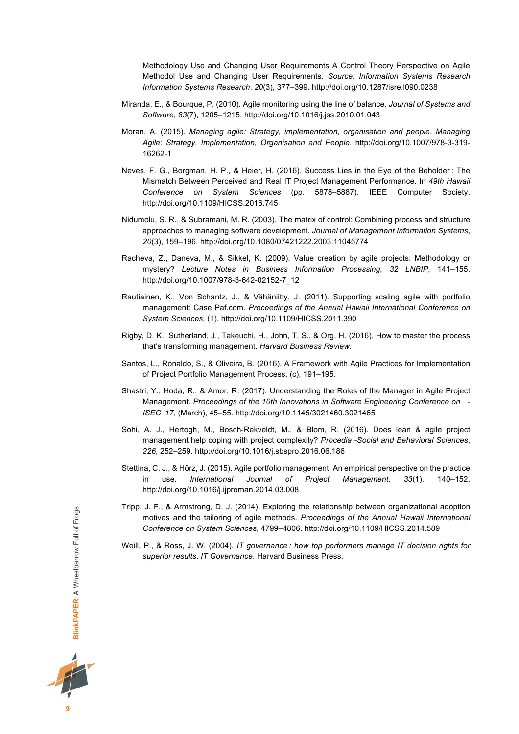Methodology Use and Changing User Requirements A Control Theory Perspective on Agile Methodol Use and Changing User Requirements. *Source: Information Systems Research Information Systems Research*, *20*(3), 377–399. http://doi.org/10.1287/isre.l090.0238

- Miranda, E., & Bourque, P. (2010). Agile monitoring using the line of balance. *Journal of Systems and Software*, *83*(7), 1205–1215. http://doi.org/10.1016/j.jss.2010.01.043
- Moran, A. (2015). *Managing agile: Strategy, implementation, organisation and people*. *Managing Agile: Strategy, Implementation, Organisation and People*. http://doi.org/10.1007/978-3-319- 16262-1
- Neves, F. G., Borgman, H. P., & Heier, H. (2016). Success Lies in the Eye of the Beholder : The Mismatch Between Perceived and Real IT Project Management Performance. In *49th Hawaii Conference on System Sciences* (pp. 5878–5887). IEEE Computer Society. http://doi.org/10.1109/HICSS.2016.745
- Nidumolu, S. R., & Subramani, M. R. (2003). The matrix of control: Combining process and structure approaches to managing software development. *Journal of Management Information Systems*, *20*(3), 159–196. http://doi.org/10.1080/07421222.2003.11045774
- Racheva, Z., Daneva, M., & Sikkel, K. (2009). Value creation by agile projects: Methodology or mystery? *Lecture Notes in Business Information Processing*, *32 LNBIP*, 141–155. http://doi.org/10.1007/978-3-642-02152-7\_12
- Rautiainen, K., Von Schantz, J., & Vähäniitty, J. (2011). Supporting scaling agile with portfolio management: Case Paf.com. *Proceedings of the Annual Hawaii International Conference on System Sciences*, (1). http://doi.org/10.1109/HICSS.2011.390
- Rigby, D. K., Sutherland, J., Takeuchi, H., John, T. S., & Org, H. (2016). How to master the process that's transforming management. *Harvard Business Review*.
- Santos, L., Ronaldo, S., & Oliveira, B. (2016). A Framework with Agile Practices for Implementation of Project Portfolio Management Process, (c), 191–195.
- Shastri, Y., Hoda, R., & Amor, R. (2017). Understanding the Roles of the Manager in Agile Project Management. *Proceedings of the 10th Innovations in Software Engineering Conference on - ISEC '17*, (March), 45–55. http://doi.org/10.1145/3021460.3021465
- Sohi, A. J., Hertogh, M., Bosch-Rekveldt, M., & Blom, R. (2016). Does lean & agile project management help coping with project complexity? *Procedia -Social and Behavioral Sciences*, *226*, 252–259. http://doi.org/10.1016/j.sbspro.2016.06.186
- Stettina, C. J., & Hörz, J. (2015). Agile portfolio management: An empirical perspective on the practice in use. *International Journal of Project Management*, *33*(1), 140–152. http://doi.org/10.1016/j.ijproman.2014.03.008
- Tripp, J. F., & Armstrong, D. J. (2014). Exploring the relationship between organizational adoption motives and the tailoring of agile methods. *Proceedings of the Annual Hawaii International Conference on System Sciences*, 4799–4806. http://doi.org/10.1109/HICSS.2014.589
- Weill, P., & Ross, J. W. (2004). *IT governance : how top performers manage IT decision rights for superior results*. *IT Governance*. Harvard Business Press.